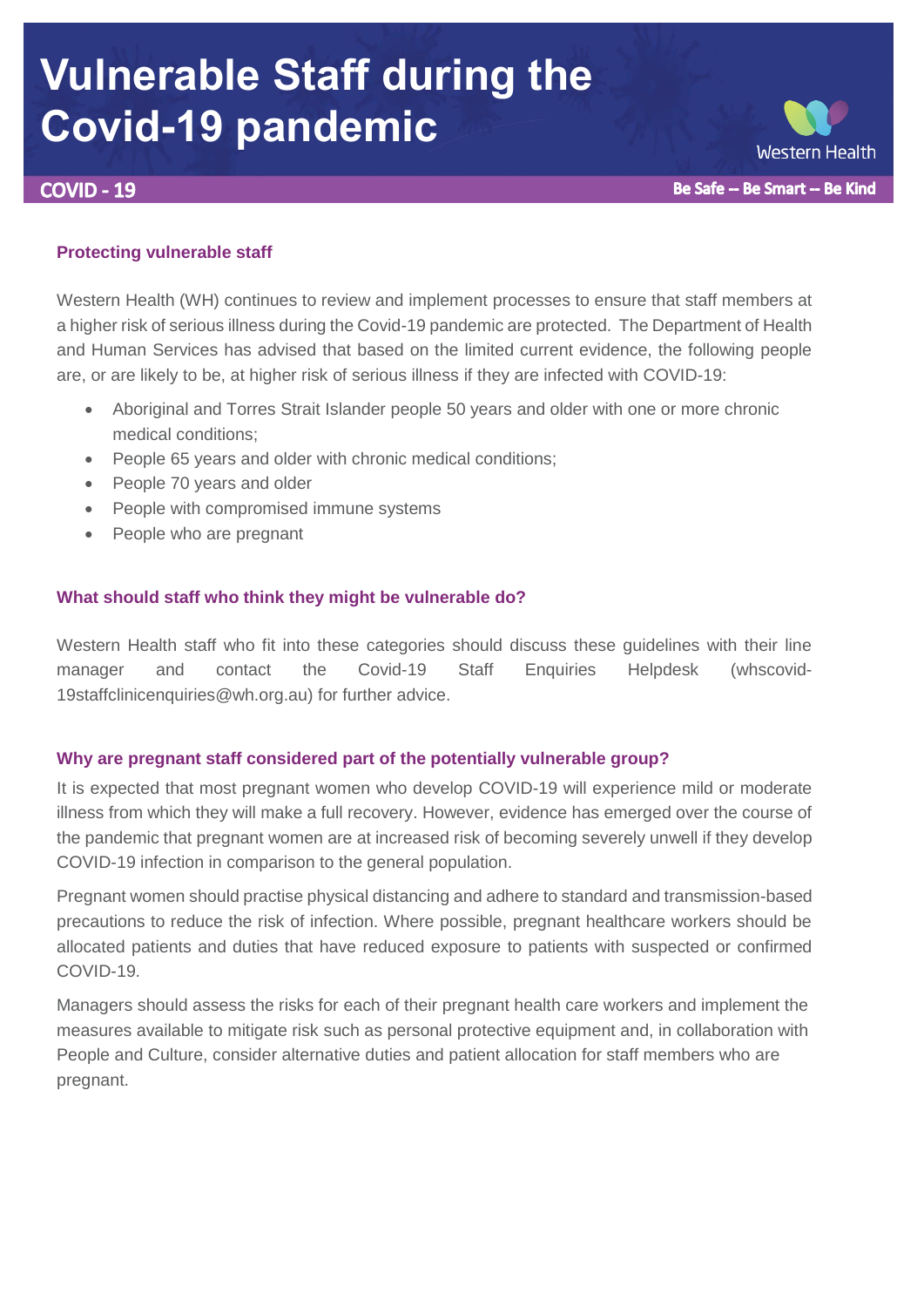# **Vulnerable Staff during the Covid-19 pandemic**

**COVID - 19** 

# **Protecting vulnerable staff**

Western Health (WH) continues to review and implement processes to ensure that staff members at a higher risk of serious illness during the Covid-19 pandemic are protected. The Department of Health and Human Services has advised that based on the limited current evidence, the following people are, or are likely to be, at higher risk of serious illness if they are infected with COVID-19:

- Aboriginal and Torres Strait Islander people 50 years and older with one or more chronic medical conditions;
- People 65 years and older with chronic medical conditions;
- People 70 years and older
- People with compromised immune systems
- People who are pregnant

# **What should staff who think they might be vulnerable do?**

Western Health staff who fit into these categories should discuss these guidelines with their line manager and contact the Covid-19 Staff Enquiries Helpdesk [\(whscovid-](mailto:whscovid-19staffclinicenquiries@wh.org.au)[19staffclinicenquiries@wh.org.au\)](mailto:whscovid-19staffclinicenquiries@wh.org.au) for further advice.

## **Why are pregnant staff considered part of the potentially vulnerable group?**

It is expected that most pregnant women who develop COVID-19 will experience mild or moderate illness from which they will make a full recovery. However, evidence has emerged over the course of the pandemic that pregnant women are at increased risk of becoming severely unwell if they develop COVID-19 infection in comparison to the general population.

Pregnant women should practise physical distancing and adhere to standard and transmission-based precautions to reduce the risk of infection. Where possible, pregnant healthcare workers should be allocated patients and duties that have reduced exposure to patients with suspected or confirmed COVID-19.

Managers should assess the risks for each of their pregnant health care workers and implement the measures available to mitigate risk such as personal protective equipment and, in collaboration with People and Culture, consider alternative duties and patient allocation for staff members who are pregnant.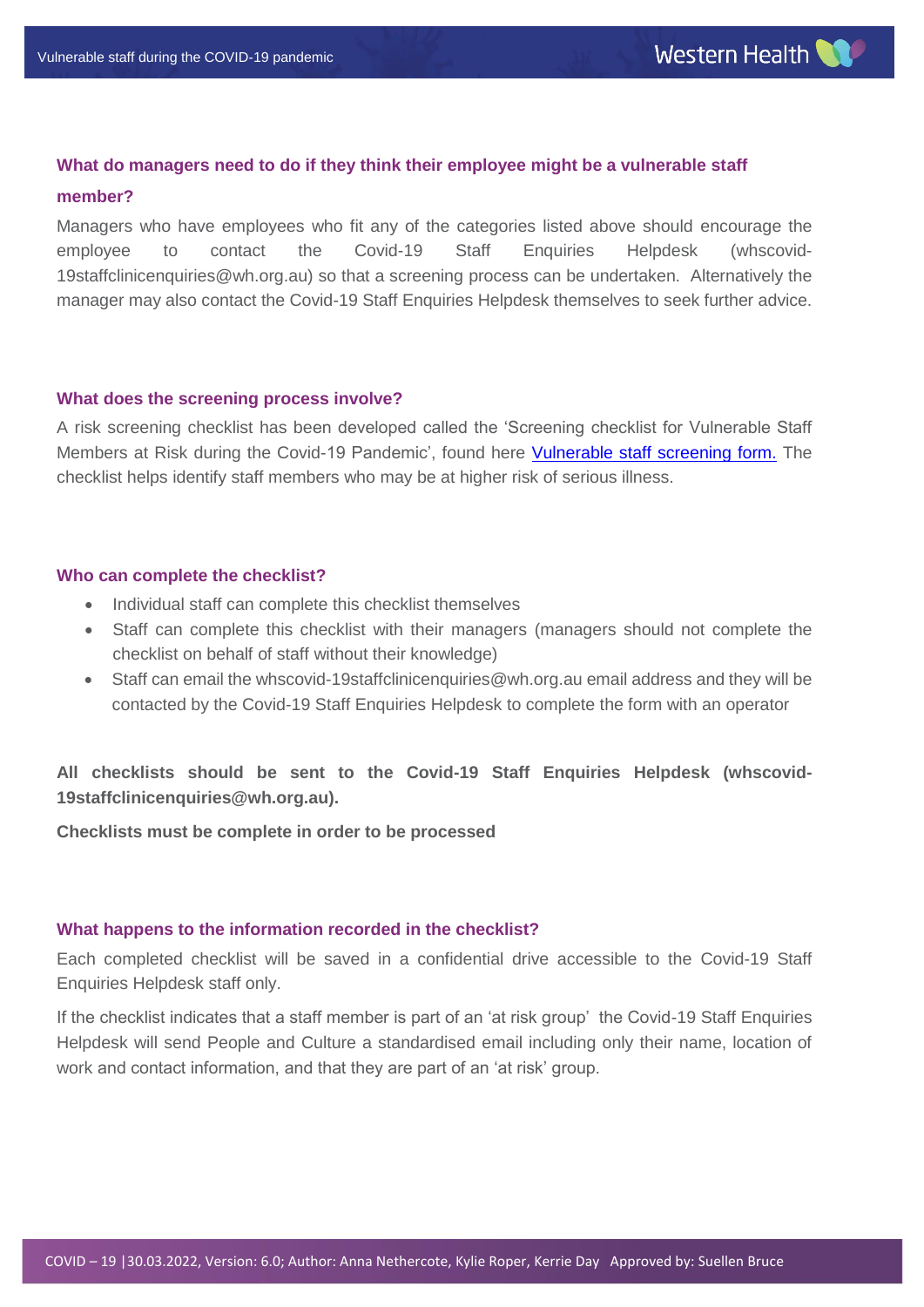## **What do managers need to do if they think their employee might be a vulnerable staff**

#### **member?**

Managers who have employees who fit any of the categories listed above should encourage the employee to contact the Covid-19 Staff Enquiries Helpdesk [\(whscovid-](mailto:whscovid-19staffclinicenquiries@wh.org.au)[19staffclinicenquiries@wh.org.au\)](mailto:whscovid-19staffclinicenquiries@wh.org.au) so that a screening process can be undertaken. Alternatively the manager may also contact the Covid-19 Staff Enquiries Helpdesk themselves to seek further advice.

## **What does the screening process involve?**

A risk screening checklist has been developed called the 'Screening checklist for Vulnerable Staff Members at Risk during the Covid-19 Pandemic', found here [Vulnerable staff screening form.](https://coronavirus.wh.org.au/wp-content/uploads/2022/04/Screening-Checklist-for-Vulnerable-Staff-Member-at-Risk-during-the-COVID-19-Pandemic-V9-30.03.2022.pdf) The checklist helps identify staff members who may be at higher risk of serious illness.

## **Who can complete the checklist?**

- Individual staff can complete this checklist themselves
- Staff can complete this checklist with their managers (managers should not complete the checklist on behalf of staff without their knowledge)
- Staff can email the [whscovid-19staffclinicenquiries@wh.org.au](mailto:whscovid-19staffclinicenquiries@wh.org.au) email address and they will be contacted by the Covid-19 Staff Enquiries Helpdesk to complete the form with an operator

**All checklists should be sent to the Covid-19 Staff Enquiries Helpdesk [\(whscovid-](mailto:whscovid-19staffclinicenquiries@wh.org.au)[19staffclinicenquiries@wh.org.au\)](mailto:whscovid-19staffclinicenquiries@wh.org.au).**

**Checklists must be complete in order to be processed**

## **What happens to the information recorded in the checklist?**

Each completed checklist will be saved in a confidential drive accessible to the Covid-19 Staff Enquiries Helpdesk staff only.

If the checklist indicates that a staff member is part of an 'at risk group' the Covid-19 Staff Enquiries Helpdesk will send People and Culture a standardised email including only their name, location of work and contact information, and that they are part of an 'at risk' group.